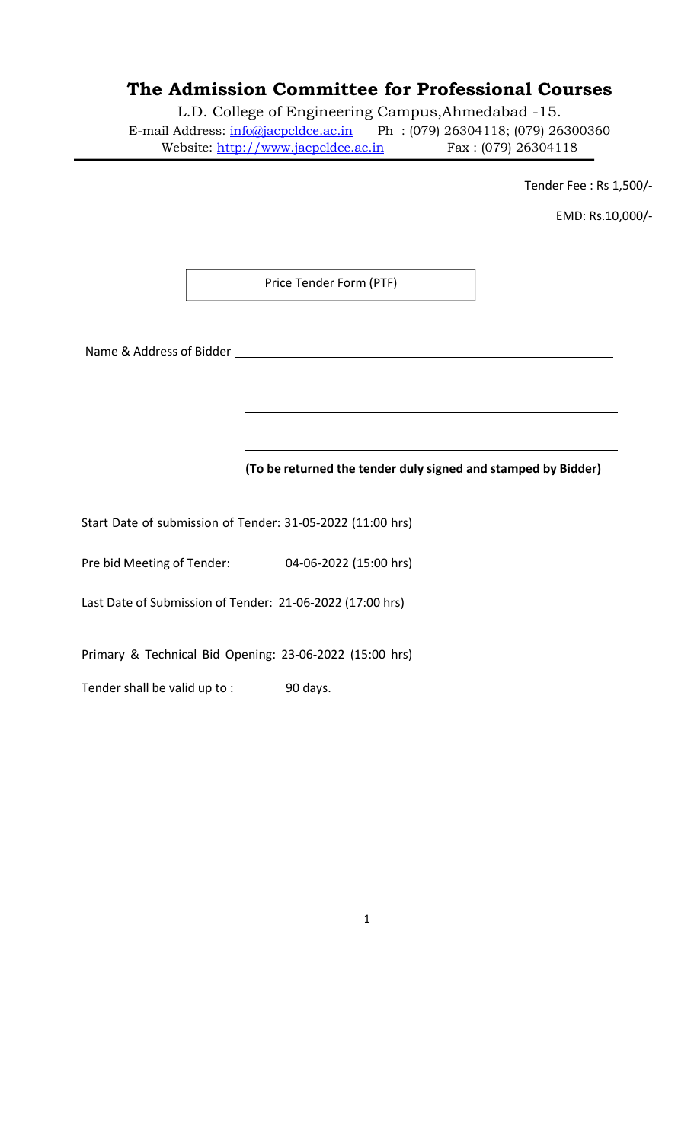# **The Admission Committee for Professional Courses**

L.D. College of Engineering Campus,Ahmedabad -15. E-mail Address: info@jacpcldce.ac.in Ph : (079) 26304118; (079) 26300360

Website: http://www.jacpcldce.ac.in Fax : (079) 26304118

Tender Fee : Rs 1,500/‐

EMD: Rs.10,000/‐

Price Tender Form (PTF)

Name & Address of Bidder

**(To be returned the tender duly signed and stamped by Bidder)** 

Start Date of submission of Tender: 31‐05‐2022 (11:00 hrs)

Pre bid Meeting of Tender: 04‐06‐2022 (15:00 hrs)

Last Date of Submission of Tender: 21‐06‐2022 (17:00 hrs)

Primary & Technical Bid Opening: 23‐06‐2022 (15:00 hrs)

Tender shall be valid up to : 90 days.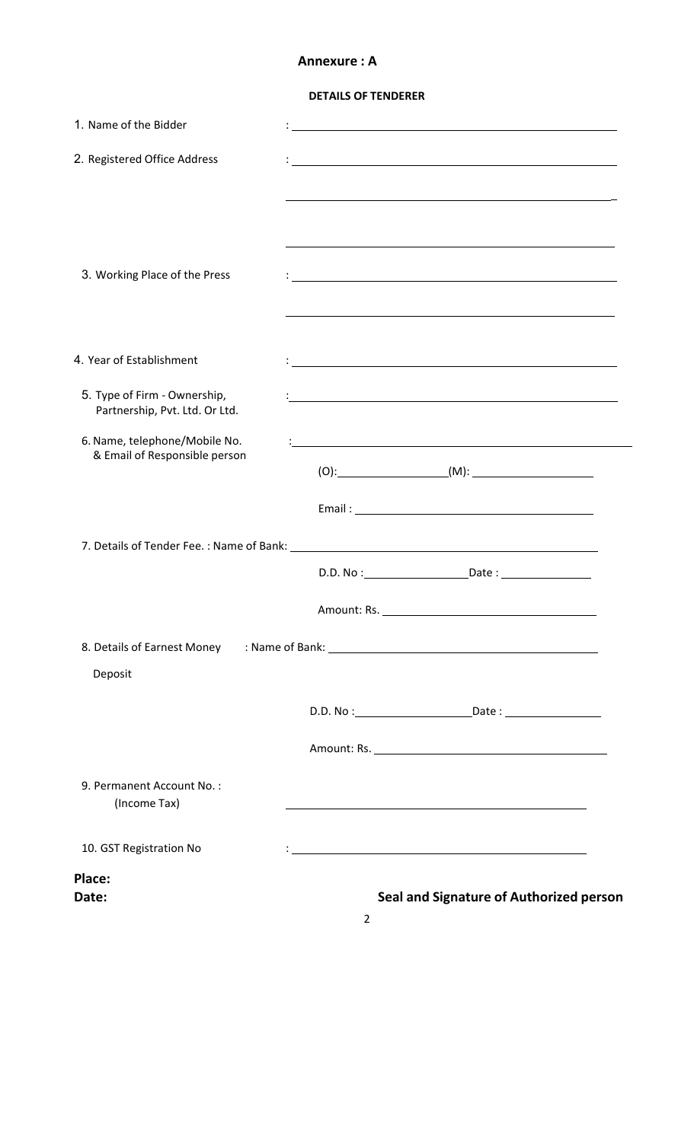## **Annexure : A**

### **DETAILS OF TENDERER**

| 1. Name of the Bidder                                          |                                                                                                                       |  |
|----------------------------------------------------------------|-----------------------------------------------------------------------------------------------------------------------|--|
| 2. Registered Office Address                                   |                                                                                                                       |  |
|                                                                |                                                                                                                       |  |
|                                                                |                                                                                                                       |  |
|                                                                |                                                                                                                       |  |
| 3. Working Place of the Press                                  |                                                                                                                       |  |
|                                                                |                                                                                                                       |  |
| 4. Year of Establishment                                       |                                                                                                                       |  |
| 5. Type of Firm - Ownership,                                   | and the control of the control of the control of the control of the control of the control of the control of the      |  |
| Partnership, Pvt. Ltd. Or Ltd.                                 |                                                                                                                       |  |
| 6. Name, telephone/Mobile No.<br>& Email of Responsible person | <u> 1980 - Johann Stoff, deutscher Stoffen und der Stoffen und der Stoffen und der Stoffen und der Stoffen und de</u> |  |
|                                                                |                                                                                                                       |  |
|                                                                |                                                                                                                       |  |
|                                                                |                                                                                                                       |  |
|                                                                |                                                                                                                       |  |
|                                                                |                                                                                                                       |  |
|                                                                |                                                                                                                       |  |
| Deposit                                                        |                                                                                                                       |  |
|                                                                |                                                                                                                       |  |
|                                                                |                                                                                                                       |  |
| 9. Permanent Account No.:<br>(Income Tax)                      |                                                                                                                       |  |
| 10. GST Registration No                                        | <u> 1980 - Johann Stoff, amerikansk politiker (* 1900)</u>                                                            |  |
| Place:                                                         |                                                                                                                       |  |
| Date:                                                          | Seal and Signature of Authorized person                                                                               |  |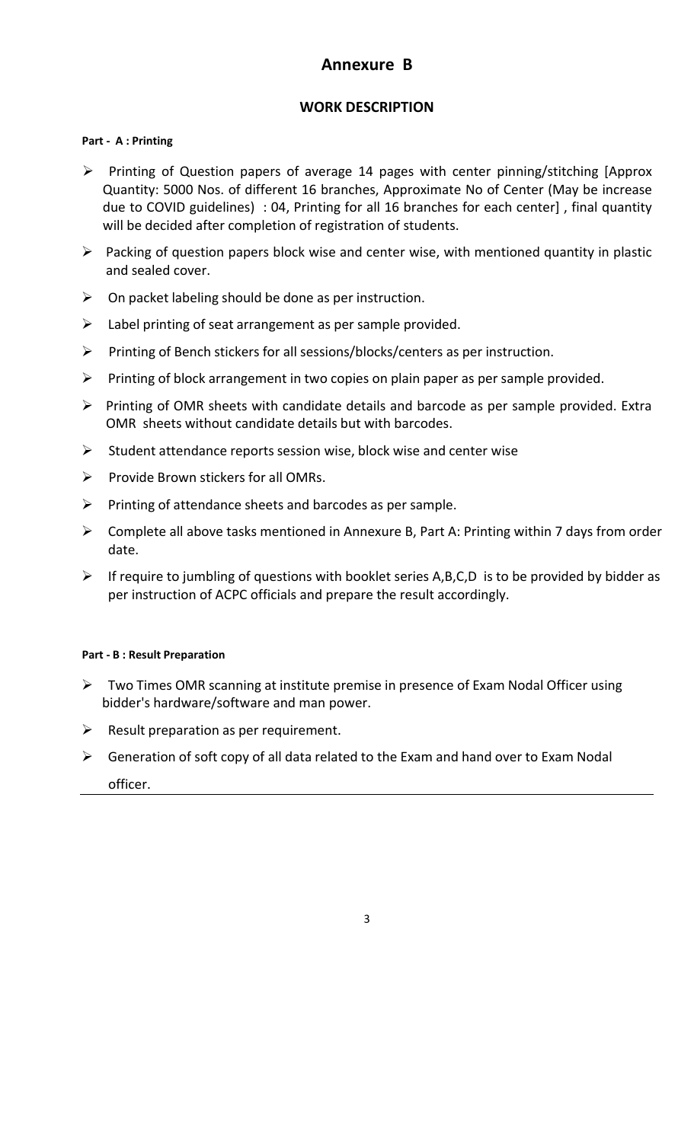## **Annexure B**

## **WORK DESCRIPTION**

### **Part ‐ A : Printing**

- Printing of Question papers of average 14 pages with center pinning/stitching [Approx Quantity: 5000 Nos. of different 16 branches, Approximate No of Center (May be increase due to COVID guidelines) : 04, Printing for all 16 branches for each center] , final quantity will be decided after completion of registration of students.
- $\triangleright$  Packing of question papers block wise and center wise, with mentioned quantity in plastic and sealed cover.
- $\triangleright$  On packet labeling should be done as per instruction.
- $\triangleright$  Label printing of seat arrangement as per sample provided.
- $\triangleright$  Printing of Bench stickers for all sessions/blocks/centers as per instruction.
- $\triangleright$  Printing of block arrangement in two copies on plain paper as per sample provided.
- $\triangleright$  Printing of OMR sheets with candidate details and barcode as per sample provided. Extra OMR sheets without candidate details but with barcodes.
- $\triangleright$  Student attendance reports session wise, block wise and center wise
- $\triangleright$  Provide Brown stickers for all OMRs.
- $\triangleright$  Printing of attendance sheets and barcodes as per sample.
- $\triangleright$  Complete all above tasks mentioned in Annexure B, Part A: Printing within 7 days from order date.
- $\triangleright$  If require to jumbling of questions with booklet series A,B,C,D is to be provided by bidder as per instruction of ACPC officials and prepare the result accordingly.

#### **Part ‐ B : Result Preparation**

- $\triangleright$  Two Times OMR scanning at institute premise in presence of Exam Nodal Officer using bidder's hardware/software and man power.
- $\triangleright$  Result preparation as per requirement.
- $\triangleright$  Generation of soft copy of all data related to the Exam and hand over to Exam Nodal officer.

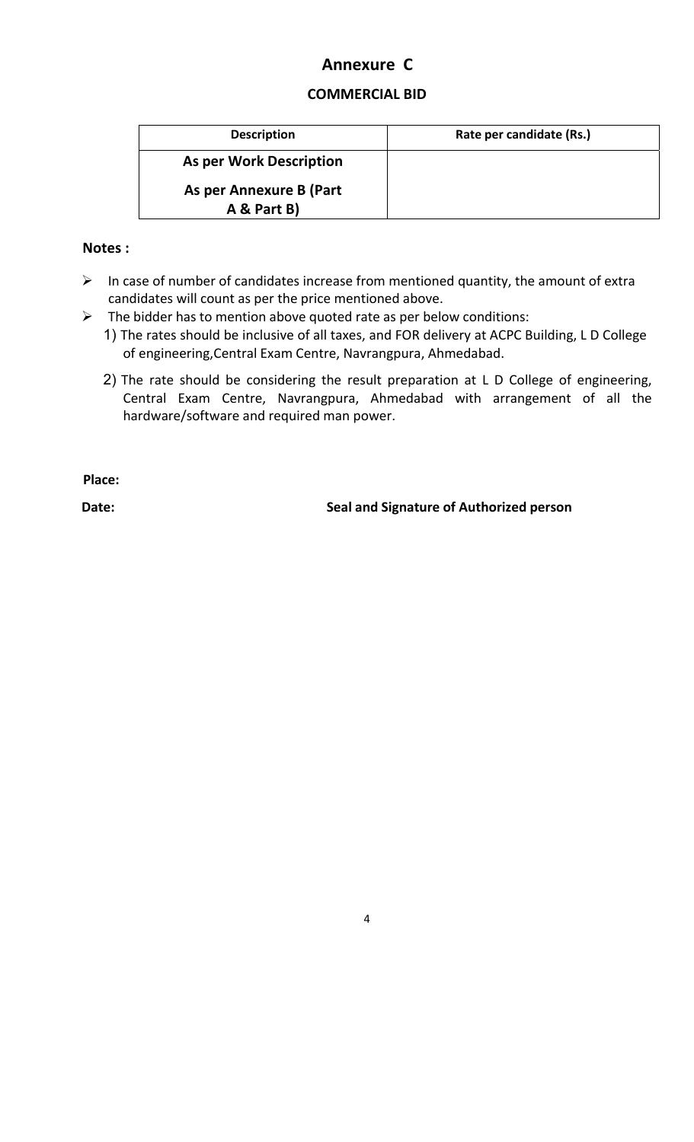## **Annexure C**

## **COMMERCIAL BID**

| <b>Description</b>             | Rate per candidate (Rs.) |
|--------------------------------|--------------------------|
| <b>As per Work Description</b> |                          |
| As per Annexure B (Part        |                          |
| A & Part B)                    |                          |

## **Notes :**

- $\triangleright$  In case of number of candidates increase from mentioned quantity, the amount of extra candidates will count as per the price mentioned above.
- $\triangleright$  The bidder has to mention above quoted rate as per below conditions:
	- 1) The rates should be inclusive of all taxes, and FOR delivery at ACPC Building, L D College of engineering, Central Exam Centre, Navrangpura, Ahmedabad.
	- 2) The rate should be considering the result preparation at L D College of engineering, Central Exam Centre, Navrangpura, Ahmedabad with arrangement of all the hardware/software and required man power.

**Place:** 

Date: **Date: Seal and Signature of Authorized person**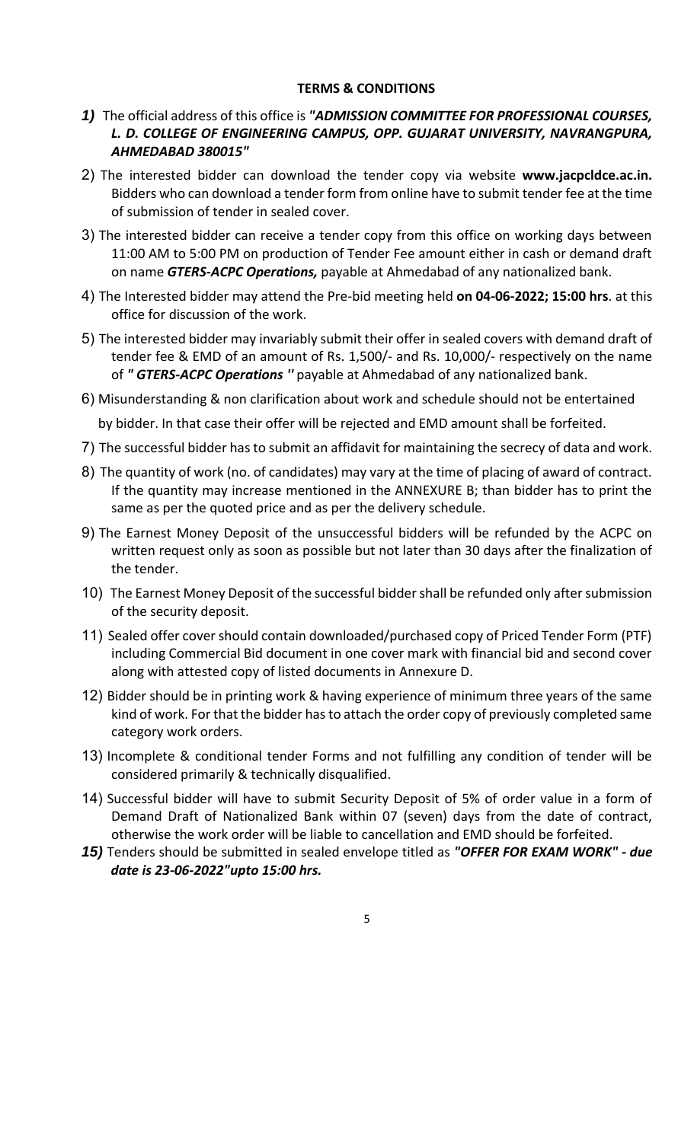#### **TERMS & CONDITIONS**

- *1)* The official address of this office is *"ADMISSION COMMITTEE FOR PROFESSIONAL COURSES, L. D. COLLEGE OF ENGINEERING CAMPUS, OPP. GUJARAT UNIVERSITY, NAVRANGPURA, AHMEDABAD 380015"*
- 2) The interested bidder can download the tender copy via website **www.jacpcldce.ac.in.**  Bidders who can download a tender form from online have to submit tender fee at the time of submission of tender in sealed cover.
- 3) The interested bidder can receive a tender copy from this office on working days between 11:00 AM to 5:00 PM on production of Tender Fee amount either in cash or demand draft on name *GTERS‐ACPC Operations,* payable at Ahmedabad of any nationalized bank.
- 4) The Interested bidder may attend the Pre‐bid meeting held **on 04‐06‐2022; 15:00 hrs**. at this office for discussion of the work.
- 5) The interested bidder may invariably submit their offer in sealed covers with demand draft of tender fee & EMD of an amount of Rs. 1,500/‐ and Rs. 10,000/‐ respectively on the name of *" GTERS‐ACPC Operations ''* payable at Ahmedabad of any nationalized bank.
- 6) Misunderstanding & non clarification about work and schedule should not be entertained

by bidder. In that case their offer will be rejected and EMD amount shall be forfeited.

- 7) The successful bidder has to submit an affidavit for maintaining the secrecy of data and work.
- 8) The quantity of work (no. of candidates) may vary at the time of placing of award of contract. If the quantity may increase mentioned in the ANNEXURE B; than bidder has to print the same as per the quoted price and as per the delivery schedule.
- 9) The Earnest Money Deposit of the unsuccessful bidders will be refunded by the ACPC on written request only as soon as possible but not later than 30 days after the finalization of the tender.
- 10) The Earnest Money Deposit of the successful bidder shall be refunded only after submission of the security deposit.
- 11) Sealed offer cover should contain downloaded/purchased copy of Priced Tender Form (PTF) including Commercial Bid document in one cover mark with financial bid and second cover along with attested copy of listed documents in Annexure D.
- 12) Bidder should be in printing work & having experience of minimum three years of the same kind of work. For that the bidder has to attach the order copy of previously completed same category work orders.
- 13) Incomplete & conditional tender Forms and not fulfilling any condition of tender will be considered primarily & technically disqualified.
- 14) Successful bidder will have to submit Security Deposit of 5% of order value in a form of Demand Draft of Nationalized Bank within 07 (seven) days from the date of contract, otherwise the work order will be liable to cancellation and EMD should be forfeited.
- *15)* Tenders should be submitted in sealed envelope titled as *"OFFER FOR EXAM WORK" ‐ due date is 23‐06‐2022"upto 15:00 hrs.*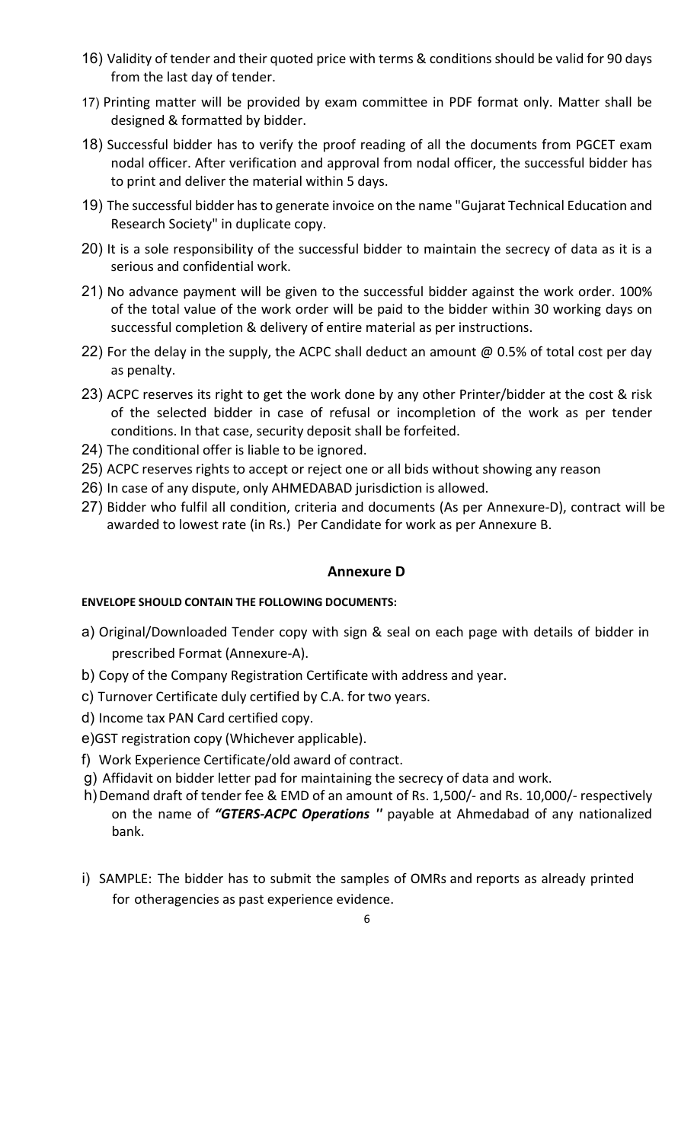- 16) Validity of tender and their quoted price with terms & conditions should be valid for 90 days from the last day of tender.
- 17) Printing matter will be provided by exam committee in PDF format only. Matter shall be designed & formatted by bidder.
- 18) Successful bidder has to verify the proof reading of all the documents from PGCET exam nodal officer. After verification and approval from nodal officer, the successful bidder has to print and deliver the material within 5 days.
- 19) The successful bidder has to generate invoice on the name "Gujarat Technical Education and Research Society" in duplicate copy.
- 20) It is a sole responsibility of the successful bidder to maintain the secrecy of data as it is a serious and confidential work.
- 21) No advance payment will be given to the successful bidder against the work order. 100% of the total value of the work order will be paid to the bidder within 30 working days on successful completion & delivery of entire material as per instructions.
- 22) For the delay in the supply, the ACPC shall deduct an amount @ 0.5% of total cost per day as penalty.
- 23) ACPC reserves its right to get the work done by any other Printer/bidder at the cost & risk of the selected bidder in case of refusal or incompletion of the work as per tender conditions. In that case, security deposit shall be forfeited.
- 24) The conditional offer is liable to be ignored.
- 25) ACPC reserves rights to accept or reject one or all bids without showing any reason
- 26) In case of any dispute, only AHMEDABAD jurisdiction is allowed.
- 27) Bidder who fulfil all condition, criteria and documents (As per Annexure‐D), contract will be awarded to lowest rate (in Rs.) Per Candidate for work as per Annexure B.

## **Annexure D**

## **ENVELOPE SHOULD CONTAIN THE FOLLOWING DOCUMENTS:**

- a) Original/Downloaded Tender copy with sign & seal on each page with details of bidder in prescribed Format (Annexure‐A).
- b) Copy of the Company Registration Certificate with address and year.
- c) Turnover Certificate duly certified by C.A. for two years.
- d) Income tax PAN Card certified copy.
- e) GST registration copy (Whichever applicable).
- f) Work Experience Certificate/old award of contract.
- g) Affidavit on bidder letter pad for maintaining the secrecy of data and work.
- h) Demand draft of tender fee & EMD of an amount of Rs. 1,500/- and Rs. 10,000/- respectively on the name of *"GTERS‐ACPC Operations ''* payable at Ahmedabad of any nationalized bank.
- i) SAMPLE: The bidder has to submit the samples of OMRs and reports as already printed for otheragencies as past experience evidence.